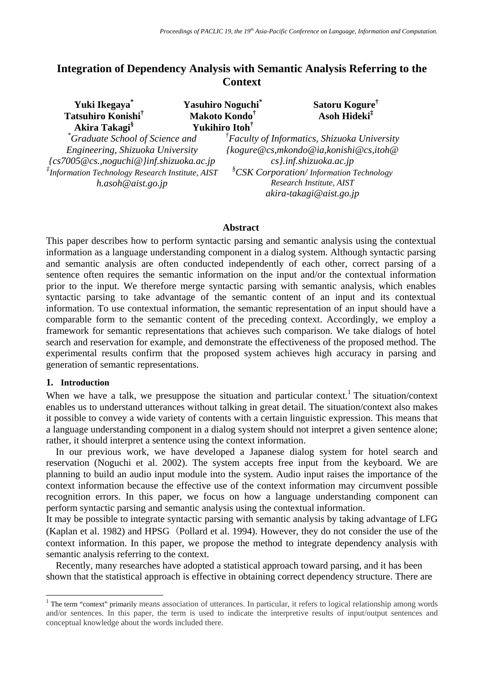# **Integration of Dependency Analysis with Semantic Analysis Referring to the Context**

| Yuki Ikegaya <sup>*</sup><br>Tatsuhiro Konishi <sup>†</sup><br>Akira Takagi <sup>§</sup>                                                                                                                            | <b>Yasuhiro Noguchi</b><br>Makoto Kondo <sup>†</sup><br>Yukihiro Itoh <sup>†</sup> | Satoru Kogure <sup>™</sup><br>Asoh Hideki <sup>‡</sup>                                                                                                                                                                                     |
|---------------------------------------------------------------------------------------------------------------------------------------------------------------------------------------------------------------------|------------------------------------------------------------------------------------|--------------------------------------------------------------------------------------------------------------------------------------------------------------------------------------------------------------------------------------------|
| <sup>*</sup> Graduate School of Science and<br>Engineering, Shizuoka University<br>{cs7005@cs.,noguchi@}inf.shizuoka.ac.jp<br>$\overline{f}$ Information Technology Research Institute, AIST<br>h. asoh@aist. go.jp |                                                                                    | ${}^{T}$ Faculty of Informatics, Shizuoka University<br>{kogure@cs,mkondo@ia,konishi@cs,itoh@<br>$cs$ .inf.shizuoka.ac.jp<br><sup>§</sup> CSK Corporation/Information Technology<br>Research Institute, AIST<br>$akira$ -takagi@aist.go.jp |

#### **Abstract**

This paper describes how to perform syntactic parsing and semantic analysis using the contextual information as a language understanding component in a dialog system. Although syntactic parsing and semantic analysis are often conducted independently of each other, correct parsing of a sentence often requires the semantic information on the input and/or the contextual information prior to the input. We therefore merge syntactic parsing with semantic analysis, which enables syntactic parsing to take advantage of the semantic content of an input and its contextual information. To use contextual information, the semantic representation of an input should have a comparable form to the semantic content of the preceding context. Accordingly, we employ a framework for semantic representations that achieves such comparison. We take dialogs of hotel search and reservation for example, and demonstrate the effectiveness of the proposed method. The experimental results confirm that the proposed system achieves high accuracy in parsing and generation of semantic representations.

#### **1. Introduction**

 $\overline{a}$ 

When we have a talk, we presuppose the situation and particular context.<sup>1</sup> The situation/context enables us to understand utterances without talking in great detail. The situation/context also makes it possible to convey a wide variety of contents with a certain linguistic expression. This means that a language understanding component in a dialog system should not interpret a given sentence alone; rather, it should interpret a sentence using the context information.

In our previous work, we have developed a Japanese dialog system for hotel search and reservation (Noguchi et al. 2002). The system accepts free input from the keyboard. We are planning to build an audio input module into the system. Audio input raises the importance of the context information because the effective use of the context information may circumvent possible recognition errors. In this paper, we focus on how a language understanding component can perform syntactic parsing and semantic analysis using the contextual information.

It may be possible to integrate syntactic parsing with semantic analysis by taking advantage of LFG (Kaplan et al. 1982) and HPSG (Pollard et al. 1994). However, they do not consider the use of the context information. In this paper, we propose the method to integrate dependency analysis with semantic analysis referring to the context.

Recently, many researches have adopted a statistical approach toward parsing, and it has been shown that the statistical approach is effective in obtaining correct dependency structure. There are

<sup>&</sup>lt;sup>1</sup> The term "context" primarily means association of utterances. In particular, it refers to logical relationship among words and/or sentences. In this paper, the term is used to indicate the interpretive results of input/output sentences and conceptual knowledge about the words included there.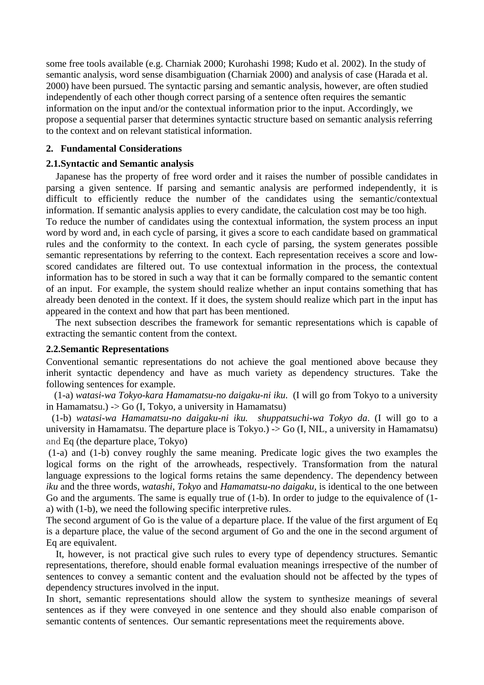some free tools available (e.g. Charniak 2000; Kurohashi 1998; Kudo et al. 2002). In the study of semantic analysis, word sense disambiguation (Charniak 2000) and analysis of case (Harada et al. 2000) have been pursued. The syntactic parsing and semantic analysis, however, are often studied independently of each other though correct parsing of a sentence often requires the semantic information on the input and/or the contextual information prior to the input. Accordingly, we propose a sequential parser that determines syntactic structure based on semantic analysis referring to the context and on relevant statistical information.

## **2. Fundamental Considerations**

## **2.1.Syntactic and Semantic analysis**

Japanese has the property of free word order and it raises the number of possible candidates in parsing a given sentence. If parsing and semantic analysis are performed independently, it is difficult to efficiently reduce the number of the candidates using the semantic/contextual information. If semantic analysis applies to every candidate, the calculation cost may be too high. To reduce the number of candidates using the contextual information, the system process an input word by word and, in each cycle of parsing, it gives a score to each candidate based on grammatical rules and the conformity to the context. In each cycle of parsing, the system generates possible semantic representations by referring to the context. Each representation receives a score and lowscored candidates are filtered out. To use contextual information in the process, the contextual information has to be stored in such a way that it can be formally compared to the semantic content of an input. For example, the system should realize whether an input contains something that has already been denoted in the context. If it does, the system should realize which part in the input has

appeared in the context and how that part has been mentioned.

The next subsection describes the framework for semantic representations which is capable of extracting the semantic content from the context.

## **2.2.Semantic Representations**

Conventional semantic representations do not achieve the goal mentioned above because they inherit syntactic dependency and have as much variety as dependency structures. Take the following sentences for example.

 (1-a) *watasi-wa Tokyo-kara Hamamatsu-no daigaku-ni iku*. (I will go from Tokyo to a university in Hamamatsu.) -> Go (I, Tokyo, a university in Hamamatsu)

 (1-b) *watasi-wa Hamamatsu-no daigaku-ni iku. shuppatsuchi-wa Tokyo da*. (I will go to a university in Hamamatsu. The departure place is Tokyo.) -> Go (I, NIL, a university in Hamamatsu) and Eq (the departure place, Tokyo)

 (1-a) and (1-b) convey roughly the same meaning. Predicate logic gives the two examples the logical forms on the right of the arrowheads, respectively. Transformation from the natural language expressions to the logical forms retains the same dependency. The dependency between *iku* and the three words, *watashi*, *Tokyo* and *Hamamatsu-no daigaku*, is identical to the one between Go and the arguments. The same is equally true of (1-b). In order to judge to the equivalence of (1 a) with (1-b), we need the following specific interpretive rules.

The second argument of Go is the value of a departure place. If the value of the first argument of Eq is a departure place, the value of the second argument of Go and the one in the second argument of Eq are equivalent.

It, however, is not practical give such rules to every type of dependency structures. Semantic representations, therefore, should enable formal evaluation meanings irrespective of the number of sentences to convey a semantic content and the evaluation should not be affected by the types of dependency structures involved in the input.

In short, semantic representations should allow the system to synthesize meanings of several sentences as if they were conveyed in one sentence and they should also enable comparison of semantic contents of sentences. Our semantic representations meet the requirements above.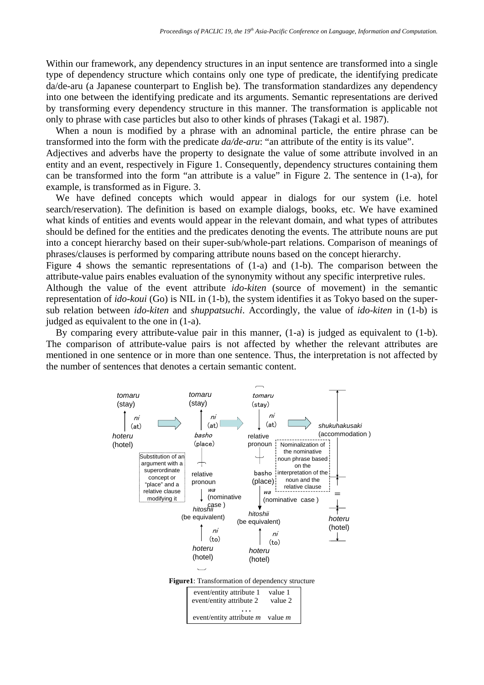Within our framework, any dependency structures in an input sentence are transformed into a single type of dependency structure which contains only one type of predicate, the identifying predicate da/de-aru (a Japanese counterpart to English be). The transformation standardizes any dependency into one between the identifying predicate and its arguments. Semantic representations are derived by transforming every dependency structure in this manner. The transformation is applicable not only to phrase with case particles but also to other kinds of phrases (Takagi et al. 1987).

When a noun is modified by a phrase with an adnominal particle, the entire phrase can be transformed into the form with the predicate *da/de-aru*: "an attribute of the entity is its value".

Adjectives and adverbs have the property to designate the value of some attribute involved in an entity and an event, respectively in Figure 1. Consequently, dependency structures containing them can be transformed into the form "an attribute is a value" in Figure 2. The sentence in (1-a), for example, is transformed as in Figure. 3.

We have defined concepts which would appear in dialogs for our system (i.e. hotel search/reservation). The definition is based on example dialogs, books, etc. We have examined what kinds of entities and events would appear in the relevant domain, and what types of attributes should be defined for the entities and the predicates denoting the events. The attribute nouns are put into a concept hierarchy based on their super-sub/whole-part relations. Comparison of meanings of phrases/clauses is performed by comparing attribute nouns based on the concept hierarchy.

Figure 4 shows the semantic representations of (1-a) and (1-b). The comparison between the attribute-value pairs enables evaluation of the synonymity without any specific interpretive rules.

Although the value of the event attribute *ido-kiten* (source of movement) in the semantic representation of *ido-koui* (Go) is NIL in (1-b), the system identifies it as Tokyo based on the supersub relation between *ido-kiten* and *shuppatsuchi*. Accordingly, the value of *ido-kiten* in (1-b) is judged as equivalent to the one in (1-a).

By comparing every attribute-value pair in this manner, (1-a) is judged as equivalent to (1-b). The comparison of attribute-value pairs is not affected by whether the relevant attributes are mentioned in one sentence or in more than one sentence. Thus, the interpretation is not affected by the number of sentences that denotes a certain semantic content.



**Figure1**: Transformation of dependency structure

| event/entity attribute 1                                | value 1   |
|---------------------------------------------------------|-----------|
| event/entity attribute 2                                | value 2   |
| $\ddot{\phantom{0}}$<br>event/entity attribute <i>m</i> | value $m$ |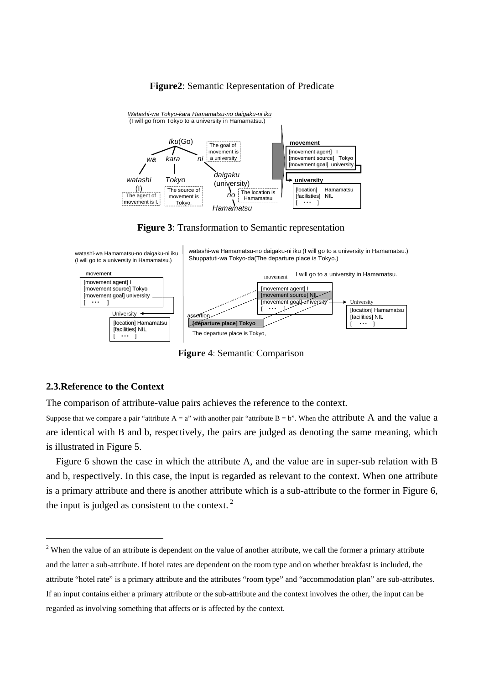#### **Figure2**: Semantic Representation of Predicate



**Figure 3**: Transformation to Semantic representation



**Figure 4**: Semantic Comparison

#### **2.3.Reference to the Context**

 $\overline{a}$ 

The comparison of attribute-value pairs achieves the reference to the context.

Suppose that we compare a pair "attribute  $A = a$ " with another pair "attribute  $B = b$ ". When the attribute A and the value a are identical with B and b, respectively, the pairs are judged as denoting the same meaning, which is illustrated in Figure 5.

Figure 6 shown the case in which the attribute A, and the value are in super-sub relation with B and b, respectively. In this case, the input is regarded as relevant to the context. When one attribute is a primary attribute and there is another attribute which is a sub-attribute to the former in Figure 6, the input is judged as consistent to the context. $<sup>2</sup>$ </sup>

 $2$  When the value of an attribute is dependent on the value of another attribute, we call the former a primary attribute and the latter a sub-attribute. If hotel rates are dependent on the room type and on whether breakfast is included, the attribute "hotel rate" is a primary attribute and the attributes "room type" and "accommodation plan" are sub-attributes. If an input contains either a primary attribute or the sub-attribute and the context involves the other, the input can be regarded as involving something that affects or is affected by the context.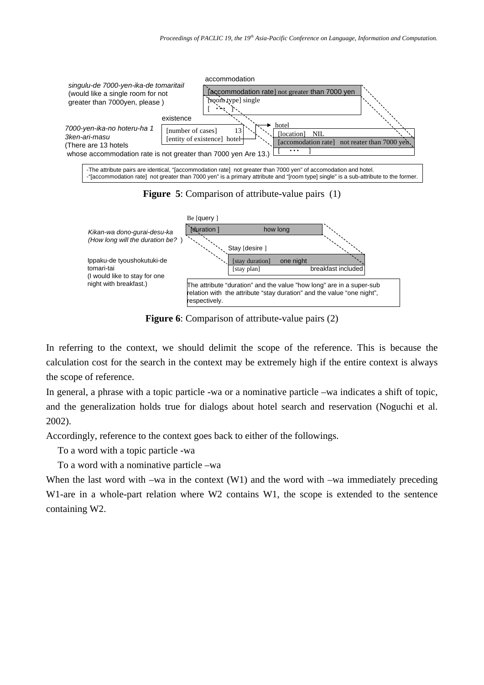







**Figure 6**: Comparison of attribute-value pairs (2)

In referring to the context, we should delimit the scope of the reference. This is because the calculation cost for the search in the context may be extremely high if the entire context is always the scope of reference.

In general, a phrase with a topic particle -wa or a nominative particle –wa indicates a shift of topic, and the generalization holds true for dialogs about hotel search and reservation (Noguchi et al. 2002).

Accordingly, reference to the context goes back to either of the followings.

To a word with a topic particle -wa

To a word with a nominative particle –wa

When the last word with –wa in the context (W1) and the word with –wa immediately preceding W1-are in a whole-part relation where W2 contains W1, the scope is extended to the sentence containing W2.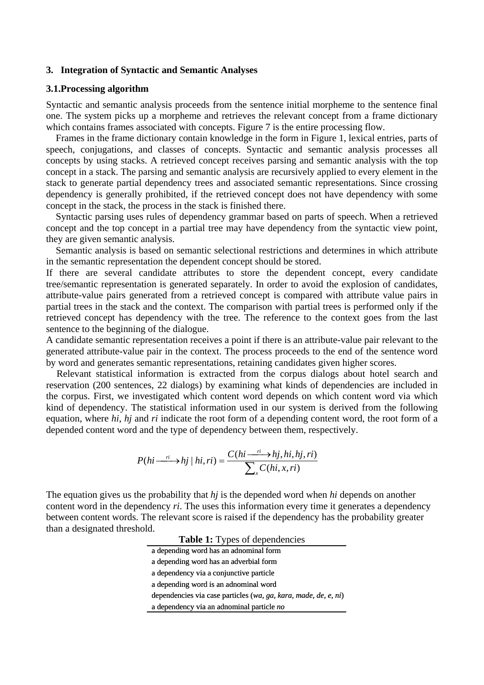## **3. Integration of Syntactic and Semantic Analyses**

#### **3.1.Processing algorithm**

Syntactic and semantic analysis proceeds from the sentence initial morpheme to the sentence final one. The system picks up a morpheme and retrieves the relevant concept from a frame dictionary which contains frames associated with concepts. Figure 7 is the entire processing flow.

Frames in the frame dictionary contain knowledge in the form in Figure 1, lexical entries, parts of speech, conjugations, and classes of concepts. Syntactic and semantic analysis processes all concepts by using stacks. A retrieved concept receives parsing and semantic analysis with the top concept in a stack. The parsing and semantic analysis are recursively applied to every element in the stack to generate partial dependency trees and associated semantic representations. Since crossing dependency is generally prohibited, if the retrieved concept does not have dependency with some concept in the stack, the process in the stack is finished there.

Syntactic parsing uses rules of dependency grammar based on parts of speech. When a retrieved concept and the top concept in a partial tree may have dependency from the syntactic view point, they are given semantic analysis.

Semantic analysis is based on semantic selectional restrictions and determines in which attribute in the semantic representation the dependent concept should be stored.

If there are several candidate attributes to store the dependent concept, every candidate tree/semantic representation is generated separately. In order to avoid the explosion of candidates, attribute-value pairs generated from a retrieved concept is compared with attribute value pairs in partial trees in the stack and the context. The comparison with partial trees is performed only if the retrieved concept has dependency with the tree. The reference to the context goes from the last sentence to the beginning of the dialogue.

A candidate semantic representation receives a point if there is an attribute-value pair relevant to the generated attribute-value pair in the context. The process proceeds to the end of the sentence word by word and generates semantic representations, retaining candidates given higher scores.

Relevant statistical information is extracted from the corpus dialogs about hotel search and reservation (200 sentences, 22 dialogs) by examining what kinds of dependencies are included in the corpus. First, we investigated which content word depends on which content word via which kind of dependency. The statistical information used in our system is derived from the following equation, where *hi*, *hj* and *ri* indicate the root form of a depending content word, the root form of a depended content word and the type of dependency between them, respectively.

$$
P(hi \xrightarrow{ri} hj \mid hi, ri) = \frac{C(hi \xrightarrow{ri} hj, hi, hj, ri)}{\sum_{x} C(hi, x, ri)}
$$

The equation gives us the probability that *hj* is the depended word when *hi* depends on another content word in the dependency *ri*. The uses this information every time it generates a dependency between content words. The relevant score is raised if the dependency has the probability greater than a designated threshold.

| <b>Table 1:</b> Types of dependencies                           |
|-----------------------------------------------------------------|
| a depending word has an adnominal form                          |
| a depending word has an adverbial form                          |
| a dependency via a conjunctive particle                         |
| a depending word is an adnominal word                           |
| dependencies via case particles (wa, ga, kara, made, de, e, ni) |
| a dependency via an adnominal particle no                       |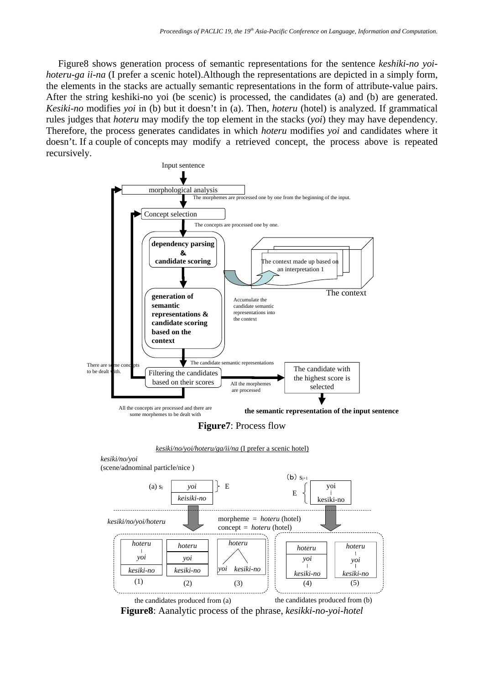Figure8 shows generation process of semantic representations for the sentence *keshiki-no yoihoteru-ga ii-na* (I prefer a scenic hotel).Although the representations are depicted in a simply form, the elements in the stacks are actually semantic representations in the form of attribute-value pairs. After the string keshiki-no yoi (be scenic) is processed, the candidates (a) and (b) are generated. *Kesiki-no* modifies *yoi* in (b) but it doesn't in (a). Then, *hoteru* (hotel) is analyzed. If grammatical rules judges that *hoteru* may modify the top element in the stacks (*yoi*) they may have dependency. Therefore, the process generates candidates in which *hoteru* modifies *yoi* and candidates where it doesn't. If a couple of concepts may modify a retrieved concept, the process above is repeated recursively.



**Figure8**: Aanalytic process of the phrase, *kesikki-no-yoi-hotel*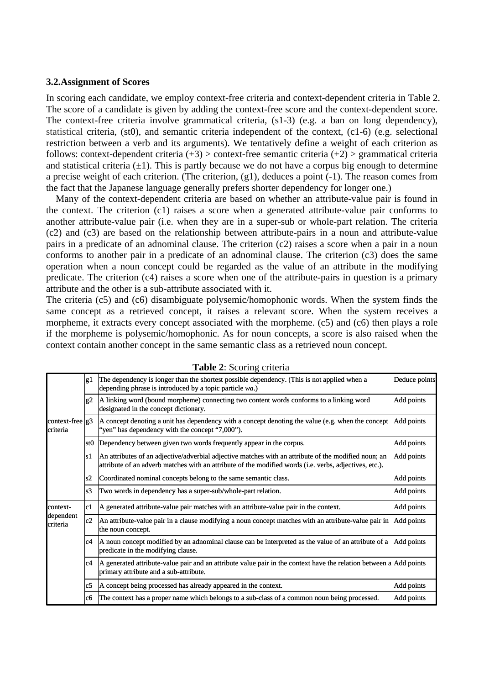#### **3.2.Assignment of Scores**

In scoring each candidate, we employ context-free criteria and context-dependent criteria in Table 2. The score of a candidate is given by adding the context-free score and the context-dependent score. The context-free criteria involve grammatical criteria, (s1-3) (e.g. a ban on long dependency), statistical criteria, (st0), and semantic criteria independent of the context, (c1-6) (e.g. selectional restriction between a verb and its arguments). We tentatively define a weight of each criterion as follows: context-dependent criteria  $(+3)$  > context-free semantic criteria  $(+2)$  > grammatical criteria and statistical criteria  $(\pm 1)$ . This is partly because we do not have a corpus big enough to determine a precise weight of each criterion. (The criterion, (g1), deduces a point (-1). The reason comes from the fact that the Japanese language generally prefers shorter dependency for longer one.)

Many of the context-dependent criteria are based on whether an attribute-value pair is found in the context. The criterion (c1) raises a score when a generated attribute-value pair conforms to another attribute-value pair (i.e. when they are in a super-sub or whole-part relation. The criteria (c2) and (c3) are based on the relationship between attribute-pairs in a noun and attribute-value pairs in a predicate of an adnominal clause. The criterion (c2) raises a score when a pair in a noun conforms to another pair in a predicate of an adnominal clause. The criterion (c3) does the same operation when a noun concept could be regarded as the value of an attribute in the modifying predicate. The criterion (c4) raises a score when one of the attribute-pairs in question is a primary attribute and the other is a sub-attribute associated with it.

The criteria (c5) and (c6) disambiguate polysemic/homophonic words. When the system finds the same concept as a retrieved concept, it raises a relevant score. When the system receives a morpheme, it extracts every concept associated with the morpheme. (c5) and (c6) then plays a role if the morpheme is polysemic/homophonic. As for noun concepts, a score is also raised when the context contain another concept in the same semantic class as a retrieved noun concept.

|                                       | g1   | The dependency is longer than the shortest possible dependency. (This is not applied when a<br>depending phrase is introduced by a topic particle wa.)                                                         | Deduce points |
|---------------------------------------|------|----------------------------------------------------------------------------------------------------------------------------------------------------------------------------------------------------------------|---------------|
|                                       | g2   | A linking word (bound morpheme) connecting two content words conforms to a linking word<br>Add points<br>designated in the concept dictionary.                                                                 |               |
| context-free $ g3\rangle$<br>criteria |      | A concept denoting a unit has dependency with a concept denoting the value (e.g. when the concept<br>"yen" has dependency with the concept "7,000").                                                           | Add points    |
|                                       |      | st0 Dependency between given two words frequently appear in the corpus.                                                                                                                                        | Add points    |
|                                       | ls 1 | An attributes of an adjective/adverbial adjective matches with an attribute of the modified noun; an<br>attribute of an adverb matches with an attribute of the modified words (i.e. verbs, adjectives, etc.). | Add points    |
|                                       | ls2  | Coordinated nominal concepts belong to the same semantic class.                                                                                                                                                | Add points    |
|                                       | ls3  | Two words in dependency has a super-sub/whole-part relation.                                                                                                                                                   | Add points    |
| context-<br>dependent<br>criteria     | lc1  | A generated attribute-value pair matches with an attribute-value pair in the context.                                                                                                                          | Add points    |
|                                       | c2   | An attribute-value pair in a clause modifying a noun concept matches with an attribute-value pair in<br>the noun concept.                                                                                      | Add points    |
|                                       | lc4  | A noun concept modified by an adnominal clause can be interpreted as the value of an attribute of a<br>predicate in the modifying clause.                                                                      | Add points    |
|                                       | lc4  | A generated attribute-value pair and an attribute value pair in the context have the relation between a $\vert$ Add points<br>primary attribute and a sub-attribute.                                           |               |
|                                       | lc5  | A concept being processed has already appeared in the context.                                                                                                                                                 | Add points    |
|                                       | lc6  | The context has a proper name which belongs to a sub-class of a common noun being processed.                                                                                                                   | Add points    |

**Table 2**: Scoring criteria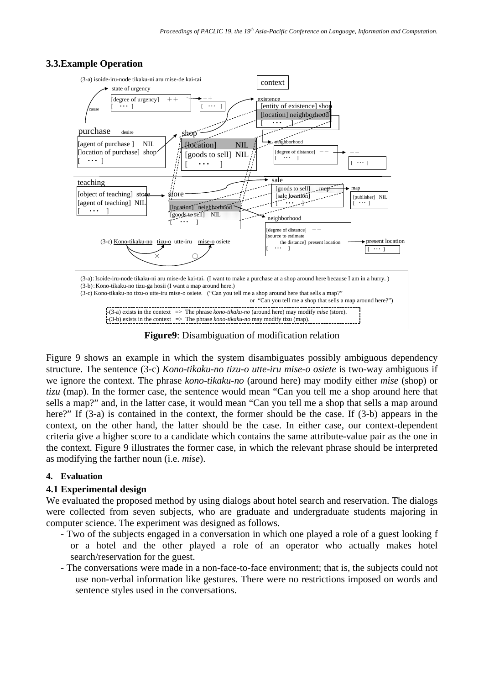



**Figure9**: Disambiguation of modification relation

Figure 9 shows an example in which the system disambiguates possibly ambiguous dependency structure. The sentence (3-c) *Kono-tikaku-no tizu-o utte-iru mise-o osiete* is two-way ambiguous if we ignore the context. The phrase *kono-tikaku-no* (around here) may modify either *mise* (shop) or *tizu* (map). In the former case, the sentence would mean "Can you tell me a shop around here that sells a map?" and, in the latter case, it would mean "Can you tell me a shop that sells a map around here?" If (3-a) is contained in the context, the former should be the case. If (3-b) appears in the context, on the other hand, the latter should be the case. In either case, our context-dependent criteria give a higher score to a candidate which contains the same attribute-value pair as the one in the context. Figure 9 illustrates the former case, in which the relevant phrase should be interpreted as modifying the farther noun (i.e. *mise*).

## **4. Evaluation**

## **4.1 Experimental design**

We evaluated the proposed method by using dialogs about hotel search and reservation. The dialogs were collected from seven subjects, who are graduate and undergraduate students majoring in computer science. The experiment was designed as follows.

- Two of the subjects engaged in a conversation in which one played a role of a guest looking f or a hotel and the other played a role of an operator who actually makes hotel search/reservation for the guest.
- The conversations were made in a non-face-to-face environment; that is, the subjects could not use non-verbal information like gestures. There were no restrictions imposed on words and sentence styles used in the conversations.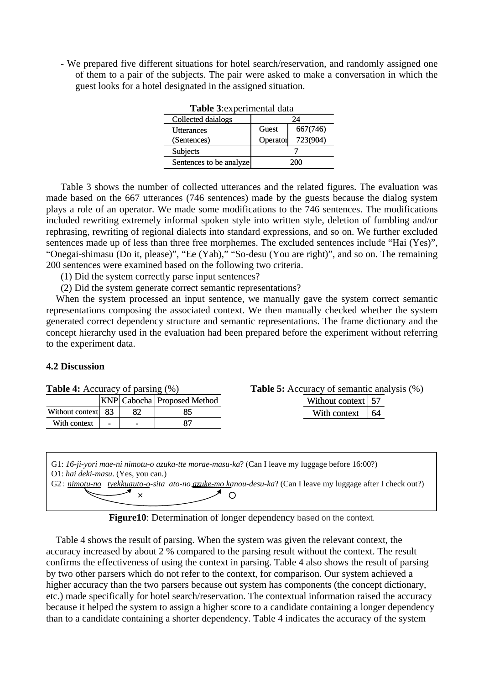- We prepared five different situations for hotel search/reservation, and randomly assigned one of them to a pair of the subjects. The pair were asked to make a conversation in which the guest looks for a hotel designated in the assigned situation.

| Table 3: experimental data |          |          |  |  |
|----------------------------|----------|----------|--|--|
| Collected daialogs         |          | 24       |  |  |
| <b>Utterances</b>          | Guest    | 667(746) |  |  |
| (Sentences)                | Operator | 723(904) |  |  |
| Subjects                   |          |          |  |  |
| Sentences to be analyze    |          |          |  |  |

Table 3 shows the number of collected utterances and the related figures. The evaluation was made based on the 667 utterances (746 sentences) made by the guests because the dialog system plays a role of an operator. We made some modifications to the 746 sentences. The modifications included rewriting extremely informal spoken style into written style, deletion of fumbling and/or rephrasing, rewriting of regional dialects into standard expressions, and so on. We further excluded sentences made up of less than three free morphemes. The excluded sentences include "Hai (Yes)", "Onegai-shimasu (Do it, please)", "Ee (Yah)," "So-desu (You are right)", and so on. The remaining 200 sentences were examined based on the following two criteria.

(1) Did the system correctly parse input sentences?

(2) Did the system generate correct semantic representations?

When the system processed an input sentence, we manually gave the system correct semantic representations composing the associated context. We then manually checked whether the system generated correct dependency structure and semantic representations. The frame dictionary and the concept hierarchy used in the evaluation had been prepared before the experiment without referring to the experiment data.

## **4.2 Discussion**

| <b>Table 4:</b> Accuracy of parsing (%) |                          |    |                                      | <b>Table 5:</b> Accuracy of semantic analysis (%) |    |  |
|-----------------------------------------|--------------------------|----|--------------------------------------|---------------------------------------------------|----|--|
|                                         |                          |    | <b>KNP</b> Cabocha   Proposed Method | Without context   57                              |    |  |
| Without context 83                      |                          | 82 |                                      | With context                                      | 64 |  |
| With context                            | $\overline{\phantom{0}}$ |    |                                      |                                                   |    |  |
|                                         |                          |    |                                      |                                                   |    |  |

G1: *16-ji-yori mae-ni nimotu-o azuka-tte morae-masu-ka*? (Can I leave my luggage before 16:00?) O1: *hai deki-masu*. (Yes, you can.) G2: *nimotu-no tyekkuauto-o-sita ato-no azuke-mo kanou-desu-ka*? (Can I leave my luggage after I check out?)  $\times$   $\sim$   $\circ$ 

**Figure10**: Determination of longer dependency based on the context.

Table 4 shows the result of parsing. When the system was given the relevant context, the accuracy increased by about 2 % compared to the parsing result without the context. The result confirms the effectiveness of using the context in parsing. Table 4 also shows the result of parsing by two other parsers which do not refer to the context, for comparison. Our system achieved a higher accuracy than the two parsers because out system has components (the concept dictionary, etc.) made specifically for hotel search/reservation. The contextual information raised the accuracy because it helped the system to assign a higher score to a candidate containing a longer dependency than to a candidate containing a shorter dependency. Table 4 indicates the accuracy of the system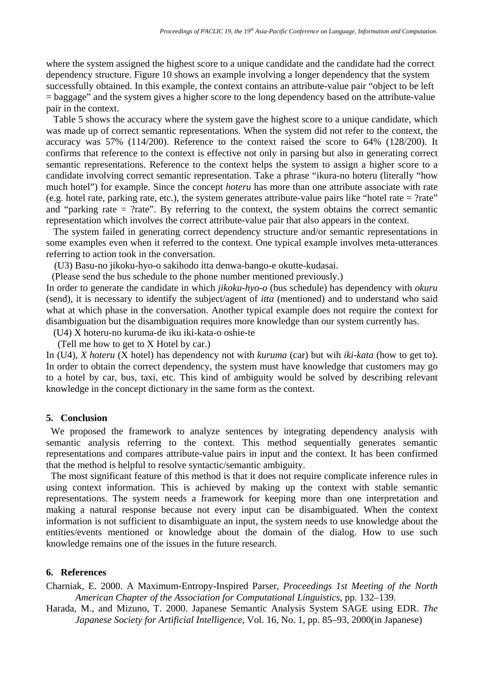where the system assigned the highest score to a unique candidate and the candidate had the correct dependency structure. Figure 10 shows an example involving a longer dependency that the system successfully obtained. In this example, the context contains an attribute-value pair "object to be left = baggage" and the system gives a higher score to the long dependency based on the attribute-value pair in the context.

Table 5 shows the accuracy where the system gave the highest score to a unique candidate, which was made up of correct semantic representations. When the system did not refer to the context, the accuracy was 57% (114/200). Reference to the context raised the score to 64% (128/200). It confirms that reference to the context is effective not only in parsing but also in generating correct semantic representations. Reference to the context helps the system to assign a higher score to a candidate involving correct semantic representation. Take a phrase "ikura-no hoteru (literally "how much hotel") for example. Since the concept *hoteru* has more than one attribute associate with rate (e.g. hotel rate, parking rate, etc.), the system generates attribute-value pairs like "hotel rate  $=$  ?rate" and "parking rate  $=$  ?rate". By referring to the context, the system obtains the correct semantic representation which involves the correct attribute-value pair that also appears in the context.

The system failed in generating correct dependency structure and/or semantic representations in some examples even when it referred to the context. One typical example involves meta-utterances referring to action took in the conversation.

(U3) Basu-no jikoku-hyo-o sakihodo itta denwa-bango-e okutte-kudasai.

(Please send the bus schedule to the phone number mentioned previously.)

In order to generate the candidate in which *jikoku-hyo-o* (bus schedule) has dependency with *okuru* (send), it is necessary to identify the subject/agent of *itta* (mentioned) and to understand who said what at which phase in the conversation. Another typical example does not require the context for disambiguation but the disambiguation requires more knowledge than our system currently has.

(U4) X hoteru-no kuruma-de iku iki-kata-o oshie-te

(Tell me how to get to X Hotel by car.)

In (U4), *X hoteru* (X hotel) has dependency not with *kuruma* (car) but wih *iki-kata* (how to get to). In order to obtain the correct dependency, the system must have knowledge that customers may go to a hotel by car, bus, taxi, etc. This kind of ambiguity would be solved by describing relevant knowledge in the concept dictionary in the same form as the context.

#### **5. Conclusion**

We proposed the framework to analyze sentences by integrating dependency analysis with semantic analysis referring to the context. This method sequentially generates semantic representations and compares attribute-value pairs in input and the context. It has been confirmed that the method is helpful to resolve syntactic/semantic ambiguity.

The most significant feature of this method is that it does not require complicate inference rules in using context information. This is achieved by making up the context with stable semantic representations. The system needs a framework for keeping more than one interpretation and making a natural response because not every input can be disambiguated. When the context information is not sufficient to disambiguate an input, the system needs to use knowledge about the entities/events mentioned or knowledge about the domain of the dialog. How to use such knowledge remains one of the issues in the future research.

## **6. References**

Charniak, E. 2000. A Maximum-Entropy-Inspired Parser, *Proceedings 1st Meeting of the North American Chapter of the Association for Computational Linguistics*, pp. 132–139.

Harada, M., and Mizuno, T. 2000. Japanese Semantic Analysis System SAGE using EDR. *The Japanese Society for Artificial Intelligence*, Vol. 16, No. 1, pp. 85–93, 2000(in Japanese)